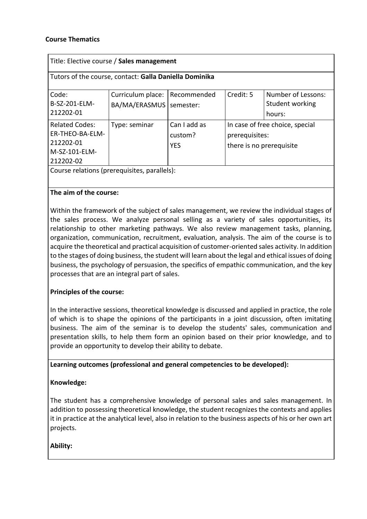### **Course Thematics**

| Title: Elective course / Sales management              |                   |              |                                                                               |                    |
|--------------------------------------------------------|-------------------|--------------|-------------------------------------------------------------------------------|--------------------|
| Tutors of the course, contact: Galla Daniella Dominika |                   |              |                                                                               |                    |
| Code:                                                  | Curriculum place: | Recommended  | Credit: 5                                                                     | Number of Lessons: |
| B-SZ-201-ELM-                                          | BA/MA/ERASMUS     | semester:    |                                                                               | Student working    |
| 212202-01                                              |                   |              |                                                                               | hours:             |
| <b>Related Codes:</b>                                  | Type: seminar     | Can I add as | In case of free choice, special<br>prerequisites:<br>there is no prerequisite |                    |
| ER-THEO-BA-ELM-                                        |                   | custom?      |                                                                               |                    |
| 212202-01                                              |                   | <b>YES</b>   |                                                                               |                    |
| M-SZ-101-ELM-                                          |                   |              |                                                                               |                    |
| 212202-02                                              |                   |              |                                                                               |                    |
| Course relations (prerequisites, parallels):           |                   |              |                                                                               |                    |
|                                                        |                   |              |                                                                               |                    |

### **The aim of the course:**

Within the framework of the subject of sales management, we review the individual stages of the sales process. We analyze personal selling as a variety of sales opportunities, its relationship to other marketing pathways. We also review management tasks, planning, organization, communication, recruitment, evaluation, analysis. The aim of the course is to acquire the theoretical and practical acquisition of customer-oriented sales activity. In addition to the stages of doing business, the student will learn about the legal and ethical issues of doing business, the psychology of persuasion, the specifics of empathic communication, and the key processes that are an integral part of sales.

### **Principles of the course:**

In the interactive sessions, theoretical knowledge is discussed and applied in practice, the role of which is to shape the opinions of the participants in a joint discussion, often imitating business. The aim of the seminar is to develop the students' sales, communication and presentation skills, to help them form an opinion based on their prior knowledge, and to provide an opportunity to develop their ability to debate.

#### **Learning outcomes (professional and general competencies to be developed):**

#### **Knowledge:**

The student has a comprehensive knowledge of personal sales and sales management. In addition to possessing theoretical knowledge, the student recognizes the contexts and applies it in practice at the analytical level, also in relation to the business aspects of his or her own art projects.

**Ability:**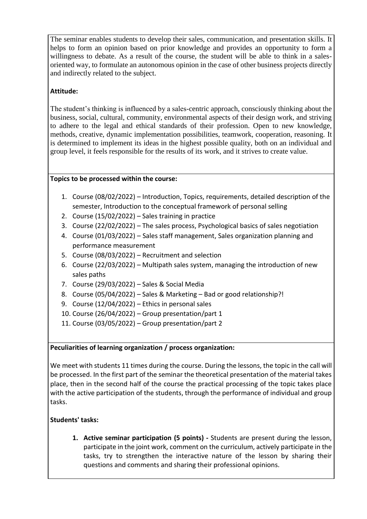The seminar enables students to develop their sales, communication, and presentation skills. It helps to form an opinion based on prior knowledge and provides an opportunity to form a willingness to debate. As a result of the course, the student will be able to think in a salesoriented way, to formulate an autonomous opinion in the case of other business projects directly and indirectly related to the subject.

# **Attitude:**

The student's thinking is influenced by a sales-centric approach, consciously thinking about the business, social, cultural, community, environmental aspects of their design work, and striving to adhere to the legal and ethical standards of their profession. Open to new knowledge, methods, creative, dynamic implementation possibilities, teamwork, cooperation, reasoning. It is determined to implement its ideas in the highest possible quality, both on an individual and group level, it feels responsible for the results of its work, and it strives to create value.

### **Topics to be processed within the course:**

- 1. Course (08/02/2022) Introduction, Topics, requirements, detailed description of the semester, Introduction to the conceptual framework of personal selling
- 2. Course (15/02/2022) Sales training in practice
- 3. Course (22/02/2022) The sales process, Psychological basics of sales negotiation
- 4. Course (01/03/2022) Sales staff management, Sales organization planning and performance measurement
- 5. Course (08/03/2022) Recruitment and selection
- 6. Course (22/03/2022) Multipath sales system, managing the introduction of new sales paths
- 7. Course (29/03/2022) Sales & Social Media
- 8. Course (05/04/2022) Sales & Marketing Bad or good relationship?!
- 9. Course (12/04/2022) Ethics in personal sales
- 10. Course (26/04/2022) Group presentation/part 1
- 11. Course (03/05/2022) Group presentation/part 2

# **Peculiarities of learning organization / process organization:**

We meet with students 11 times during the course. During the lessons, the topic in the call will be processed. In the first part of the seminar the theoretical presentation of the material takes place, then in the second half of the course the practical processing of the topic takes place with the active participation of the students, through the performance of individual and group tasks.

# **Students' tasks:**

**1. Active seminar participation (5 points) -** Students are present during the lesson, participate in the joint work, comment on the curriculum, actively participate in the tasks, try to strengthen the interactive nature of the lesson by sharing their questions and comments and sharing their professional opinions.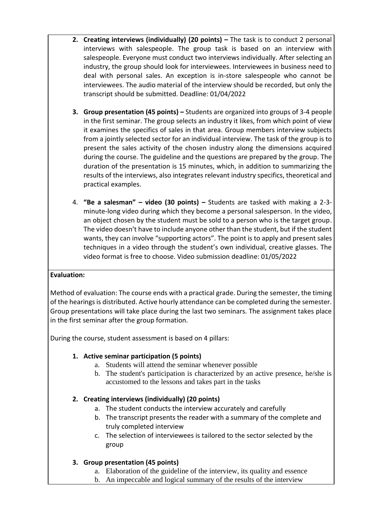- **2. Creating interviews (individually) (20 points) –** The task is to conduct 2 personal interviews with salespeople. The group task is based on an interview with salespeople. Everyone must conduct two interviews individually. After selecting an industry, the group should look for interviewees. Interviewees in business need to deal with personal sales. An exception is in-store salespeople who cannot be interviewees. The audio material of the interview should be recorded, but only the transcript should be submitted. Deadline: 01/04/2022
- **3. Group presentation (45 points) –** Students are organized into groups of 3-4 people in the first seminar. The group selects an industry it likes, from which point of view it examines the specifics of sales in that area. Group members interview subjects from a jointly selected sector for an individual interview. The task of the group is to present the sales activity of the chosen industry along the dimensions acquired during the course. The guideline and the questions are prepared by the group. The duration of the presentation is 15 minutes, which, in addition to summarizing the results of the interviews, also integrates relevant industry specifics, theoretical and practical examples.
- 4. **"Be a salesman" – video (30 points) –** Students are tasked with making a 2-3 minute-long video during which they become a personal salesperson. In the video, an object chosen by the student must be sold to a person who is the target group. The video doesn't have to include anyone other than the student, but if the student wants, they can involve "supporting actors". The point is to apply and present sales techniques in a video through the student's own individual, creative glasses. The video format is free to choose. Video submission deadline: 01/05/2022

### **Evaluation:**

Method of evaluation: The course ends with a practical grade. During the semester, the timing of the hearings is distributed. Active hourly attendance can be completed during the semester. Group presentations will take place during the last two seminars. The assignment takes place in the first seminar after the group formation.

During the course, student assessment is based on 4 pillars:

# **1. Active seminar participation (5 points)**

- a. Students will attend the seminar whenever possible
- b. The student's participation is characterized by an active presence, he/she is accustomed to the lessons and takes part in the tasks

# **2. Creating interviews (individually) (20 points)**

- a. The student conducts the interview accurately and carefully
- b. The transcript presents the reader with a summary of the complete and truly completed interview
- c. The selection of interviewees is tailored to the sector selected by the group

# **3. Group presentation (45 points)**

- a. Elaboration of the guideline of the interview, its quality and essence
- b. An impeccable and logical summary of the results of the interview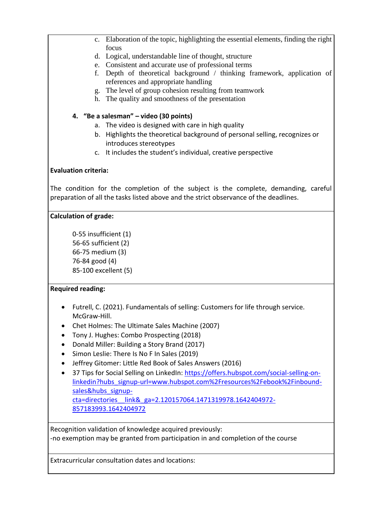- c. Elaboration of the topic, highlighting the essential elements, finding the right focus
- d. Logical, understandable line of thought, structure
- e. Consistent and accurate use of professional terms
- f. Depth of theoretical background / thinking framework, application of references and appropriate handling
- g. The level of group cohesion resulting from teamwork
- h. The quality and smoothness of the presentation

#### **4. "Be a salesman" – video (30 points)**

- a. The video is designed with care in high quality
- b. Highlights the theoretical background of personal selling, recognizes or introduces stereotypes
- c. It includes the student's individual, creative perspective

#### **Evaluation criteria:**

The condition for the completion of the subject is the complete, demanding, careful preparation of all the tasks listed above and the strict observance of the deadlines.

#### **Calculation of grade:**

0-55 insufficient (1) 56-65 sufficient (2) 66-75 medium (3) 76-84 good (4) 85-100 excellent (5)

### **Required reading:**

- Futrell, C. (2021). Fundamentals of selling: Customers for life through service. McGraw-Hill.
- Chet Holmes: The Ultimate Sales Machine (2007)
- Tony J. Hughes: Combo Prospecting (2018)
- Donald Miller: Building a Story Brand (2017)
- Simon Leslie: There Is No F In Sales (2019)
- Jeffrey Gitomer: Little Red Book of Sales Answers (2016)
- 37 Tips for Social Selling on LinkedIn: [https://offers.hubspot.com/social-selling-on](https://offers.hubspot.com/social-selling-on-linkedin?hubs_signup-url=www.hubspot.com%2Fresources%2Febook%2Finbound-sales&hubs_signup-cta=directories__link&_ga=2.120157064.1471319978.1642404972-857183993.1642404972)[linkedin?hubs\\_signup-url=www.hubspot.com%2Fresources%2Febook%2Finbound](https://offers.hubspot.com/social-selling-on-linkedin?hubs_signup-url=www.hubspot.com%2Fresources%2Febook%2Finbound-sales&hubs_signup-cta=directories__link&_ga=2.120157064.1471319978.1642404972-857183993.1642404972)[sales&hubs\\_signup](https://offers.hubspot.com/social-selling-on-linkedin?hubs_signup-url=www.hubspot.com%2Fresources%2Febook%2Finbound-sales&hubs_signup-cta=directories__link&_ga=2.120157064.1471319978.1642404972-857183993.1642404972)[cta=directories\\_\\_link&\\_ga=2.120157064.1471319978.1642404972-](https://offers.hubspot.com/social-selling-on-linkedin?hubs_signup-url=www.hubspot.com%2Fresources%2Febook%2Finbound-sales&hubs_signup-cta=directories__link&_ga=2.120157064.1471319978.1642404972-857183993.1642404972) [857183993.1642404972](https://offers.hubspot.com/social-selling-on-linkedin?hubs_signup-url=www.hubspot.com%2Fresources%2Febook%2Finbound-sales&hubs_signup-cta=directories__link&_ga=2.120157064.1471319978.1642404972-857183993.1642404972)

Recognition validation of knowledge acquired previously: -no exemption may be granted from participation in and completion of the course

Extracurricular consultation dates and locations: